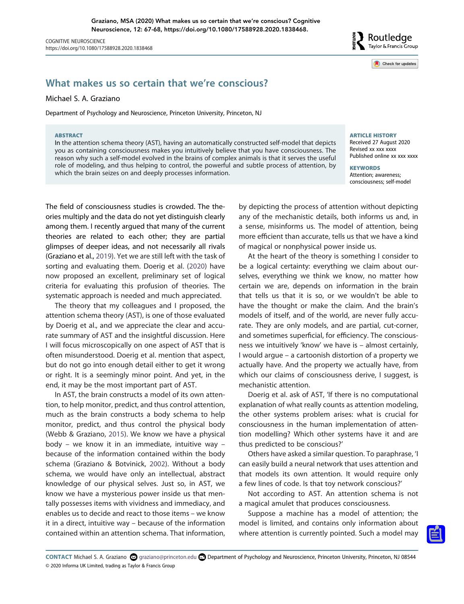CONTACT Michael S. A. Graziano @ graziano@princeton.edu **Department of Psychology and Neuroscience**, Princeton University, Princeton, NJ 08544 © 2020 Informa UK Limited, trading as Taylor & Francis Group

COGNITIVE NEUROSCIENCE https://doi.org/10.1080/17588928.2020.1838468

# **What makes us so certain that we're conscious?**

# Michael S. A. Graziano

Department of Psychology and Neuroscience, Princeton University, Princeton, NJ

#### ABSTRACT

In the attention schema theory (AST), having an automatically constructed self-model that depicts you as containing consciousness makes you intuitively believe that you have consciousness. The reason why such a self-model evolved in the brains of complex animals is that it serves the useful role of modeling, and thus helping to control, the powerful and subtle process of attention, by which the brain seizes on and deeply processes information.

<span id="page-0-2"></span>The feld of consciousness studies is crowded. The theories multiply and the data do not yet distinguish clearly among them. I recently argued that many of the current theories are related to each other; they are partial glimpses of deeper ideas, and not necessarily all rivals (Graziano et al., [2019\)](#page-1-0). Yet we are still left with the task of sorting and evaluating them. Doerig et al. [\(2020](#page-1-1)) have now proposed an excellent, preliminary set of logical criteria for evaluating this profusion of theories. The systematic approach is needed and much appreciated.

<span id="page-0-0"></span>The theory that my colleagues and I proposed, the attention schema theory (AST), is one of those evaluated by Doerig et al., and we appreciate the clear and accurate summary of AST and the insightful discussion. Here I will focus microscopically on one aspect of AST that is often misunderstood. Doerig et al. mention that aspect, but do not go into enough detail either to get it wrong or right. It is a seemingly minor point. And yet, in the end, it may be the most important part of AST.

<span id="page-0-3"></span><span id="page-0-1"></span>In AST, the brain constructs a model of its own attention, to help monitor, predict, and thus control attention, much as the brain constructs a body schema to help monitor, predict, and thus control the physical body (Webb & Graziano, [2015](#page-1-2)). We know we have a physical body – we know it in an immediate, intuitive way – because of the information contained within the body schema (Graziano & Botvinick, [2002](#page-1-3)). Without a body schema, we would have only an intellectual, abstract knowledge of our physical selves. Just so, in AST, we know we have a mysterious power inside us that mentally possesses items with vividness and immediacy, and enables us to decide and react to those items – we know it in a direct, intuitive way – because of the information contained within an attention schema. That information,

by depicting the process of attention without depicting any of the mechanistic details, both informs us and, in a sense, misinforms us. The model of attention, being more efficient than accurate, tells us that we have a kind of magical or nonphysical power inside us.

At the heart of the theory is something I consider to be a logical certainty: everything we claim about ourselves, everything we think we know, no matter how certain we are, depends on information in the brain that tells us that it is so, or we wouldn't be able to have the thought or make the claim. And the brain's models of itself, and of the world, are never fully accurate. They are only models, and are partial, cut-corner, and sometimes superficial, for efficiency. The consciousness we intuitively 'know' we have is – almost certainly, I would argue – a cartoonish distortion of a property we actually have. And the property we actually have, from which our claims of consciousness derive, I suggest, is mechanistic attention.

Doerig et al. ask of AST, 'If there is no computational explanation of what really counts as attention modeling, the other systems problem arises: what is crucial for consciousness in the human implementation of attention modelling? Which other systems have it and are thus predicted to be conscious?'

Others have asked a similar question. To paraphrase, 'I can easily build a neural network that uses attention and that models its own attention. It would require only a few lines of code. Is that toy network conscious?'

Not according to AST. An attention schema is not a magical amulet that produces consciousness.

Suppose a machine has a model of attention; the model is limited, and contains only information about where attention is currently pointed. Such a model may

### **ARTICLE HISTORY** Received 27 August 2020

Revised xx xxx xxxx Published online xx xxx xxxx

**KEYWORDS** Attention; awareness; consciousness; self-model